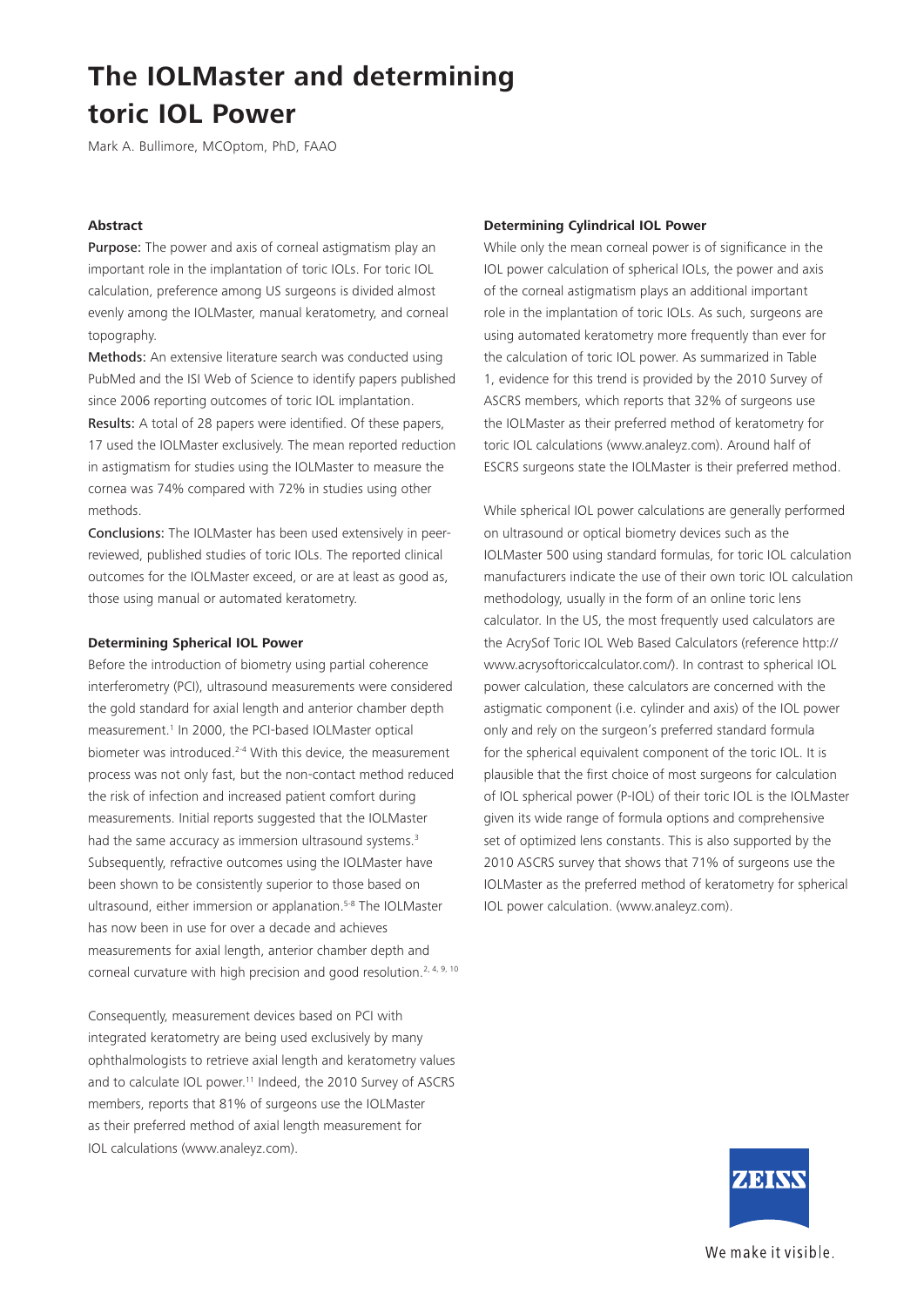Mark A. Bullimore, MCOptom, PhD, FAAO

#### **Abstract**

Purpose: The power and axis of corneal astigmatism play an important role in the implantation of toric IOLs. For toric IOL calculation, preference among US surgeons is divided almost evenly among the IOLMaster, manual keratometry, and corneal topography.

Methods: An extensive literature search was conducted using PubMed and the ISI Web of Science to identify papers published since 2006 reporting outcomes of toric IOL implantation. Results: A total of 28 papers were identified. Of these papers, 17 used the IOLMaster exclusively. The mean reported reduction in astigmatism for studies using the IOLMaster to measure the cornea was 74% compared with 72% in studies using other methods.

Conclusions: The IOLMaster has been used extensively in peerreviewed, published studies of toric IOLs. The reported clinical outcomes for the IOLMaster exceed, or are at least as good as, those using manual or automated keratometry.

#### **Determining Spherical IOL Power**

Before the introduction of biometry using partial coherence interferometry (PCI), ultrasound measurements were considered the gold standard for axial length and anterior chamber depth measurement.<sup>1</sup> In 2000, the PCI-based IOLMaster optical biometer was introduced.<sup>2-4</sup> With this device, the measurement process was not only fast, but the non-contact method reduced the risk of infection and increased patient comfort during measurements. Initial reports suggested that the IOLMaster had the same accuracy as immersion ultrasound systems.<sup>3</sup> Subsequently, refractive outcomes using the IOLMaster have been shown to be consistently superior to those based on ultrasound, either immersion or applanation.<sup>5-8</sup> The IOLMaster has now been in use for over a decade and achieves measurements for axial length, anterior chamber depth and corneal curvature with high precision and good resolution.<sup>2, 4, 9, 10</sup>

Consequently, measurement devices based on PCI with integrated keratometry are being used exclusively by many ophthalmologists to retrieve axial length and keratometry values and to calculate IOL power.<sup>11</sup> Indeed, the 2010 Survey of ASCRS members, reports that 81% of surgeons use the IOLMaster as their preferred method of axial length measurement for IOL calculations (www.analeyz.com).

#### **Determining Cylindrical IOL Power**

While only the mean corneal power is of significance in the IOL power calculation of spherical IOLs, the power and axis of the corneal astigmatism plays an additional important role in the implantation of toric IOLs. As such, surgeons are using automated keratometry more frequently than ever for the calculation of toric IOL power. As summarized in Table 1, evidence for this trend is provided by the 2010 Survey of ASCRS members, which reports that 32% of surgeons use the IOLMaster as their preferred method of keratometry for toric IOL calculations (www.analeyz.com). Around half of ESCRS surgeons state the IOLMaster is their preferred method.

While spherical IOL power calculations are generally performed on ultrasound or optical biometry devices such as the IOLMaster 500 using standard formulas, for toric IOL calculation manufacturers indicate the use of their own toric IOL calculation methodology, usually in the form of an online toric lens calculator. In the US, the most frequently used calculators are the AcrySof Toric IOL Web Based Calculators (reference http:// www.acrysoftoriccalculator.com/). In contrast to spherical IOL power calculation, these calculators are concerned with the astigmatic component (i.e. cylinder and axis) of the IOL power only and rely on the surgeon's preferred standard formula for the spherical equivalent component of the toric IOL. It is plausible that the first choice of most surgeons for calculation of IOL spherical power (P-IOL) of their toric IOL is the IOLMaster given its wide range of formula options and comprehensive set of optimized lens constants. This is also supported by the 2010 ASCRS survey that shows that 71% of surgeons use the IOLMaster as the preferred method of keratometry for spherical IOL power calculation. (www.analeyz.com).



We make it visible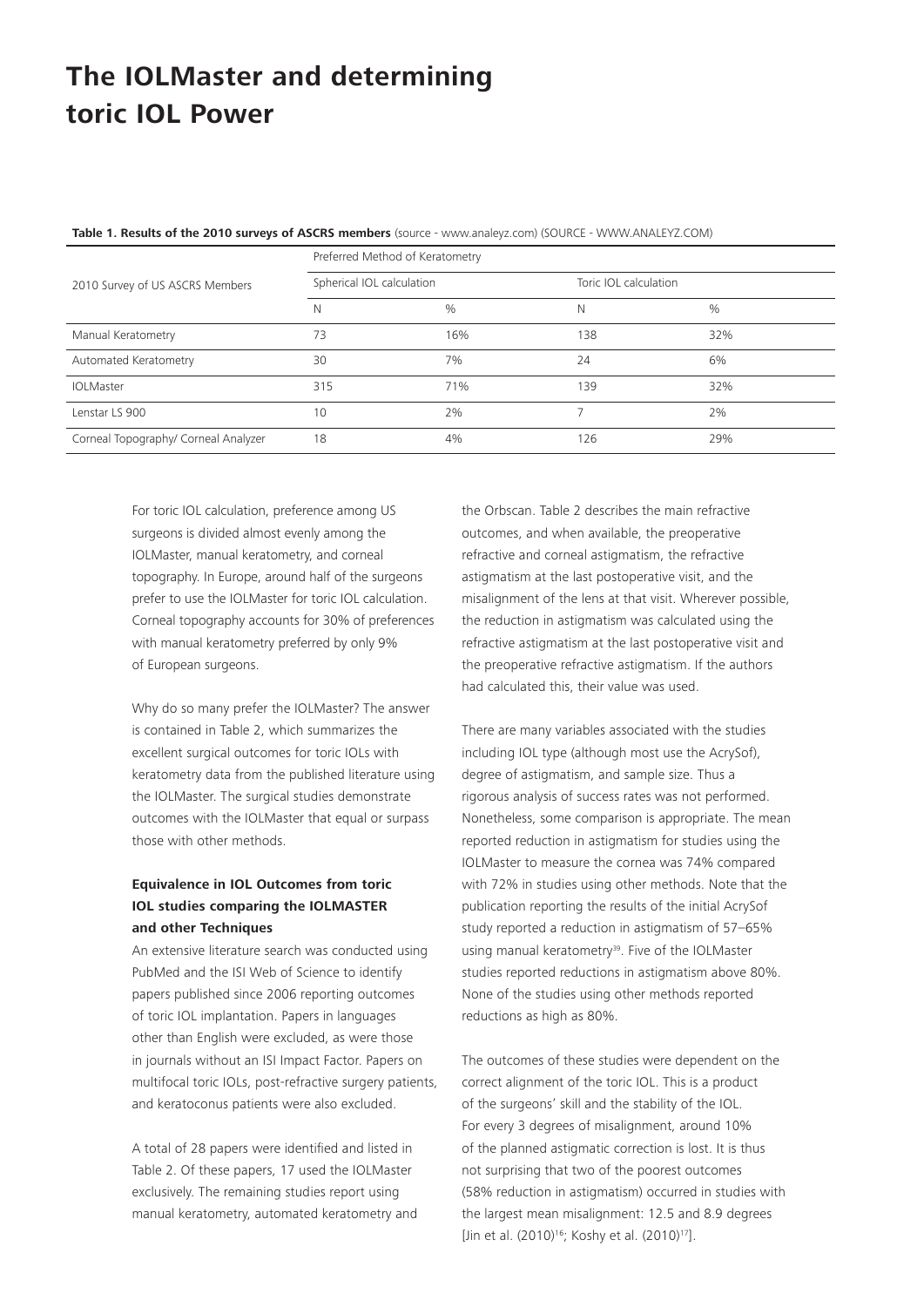|                                      | Preferred Method of Keratometry |               |                       |      |  |  |
|--------------------------------------|---------------------------------|---------------|-----------------------|------|--|--|
| 2010 Survey of US ASCRS Members      | Spherical IOL calculation       |               | Toric IOL calculation |      |  |  |
|                                      | N                               | $\frac{0}{0}$ | Ν                     | $\%$ |  |  |
| Manual Keratometry                   | 73                              | 16%           | 138                   | 32%  |  |  |
| Automated Keratometry                | 30                              | 7%            | 24                    | 6%   |  |  |
| <b>IOLMaster</b>                     | 315                             | 71%           | 139                   | 32%  |  |  |
| Lenstar LS 900                       | 10                              | 2%            |                       | 2%   |  |  |
| Corneal Topography/ Corneal Analyzer | 18                              | 4%            | 126                   | 29%  |  |  |

**Table 1. Results of the 2010 surveys of ASCRS members** (source - www.analeyz.com) (SOURCE - WWW.ANALEYZ.COM)

For toric IOL calculation, preference among US surgeons is divided almost evenly among the IOLMaster, manual keratometry, and corneal topography. In Europe, around half of the surgeons prefer to use the IOLMaster for toric IOL calculation. Corneal topography accounts for 30% of preferences with manual keratometry preferred by only 9% of European surgeons.

Why do so many prefer the IOLMaster? The answer is contained in Table 2, which summarizes the excellent surgical outcomes for toric IOLs with keratometry data from the published literature using the IOLMaster. The surgical studies demonstrate outcomes with the IOLMaster that equal or surpass those with other methods.

### **Equivalence in IOL Outcomes from toric IOL studies comparing the IOLMASTER and other Techniques**

An extensive literature search was conducted using PubMed and the ISI Web of Science to identify papers published since 2006 reporting outcomes of toric IOL implantation. Papers in languages other than English were excluded, as were those in journals without an ISI Impact Factor. Papers on multifocal toric IOLs, post-refractive surgery patients, and keratoconus patients were also excluded.

A total of 28 papers were identified and listed in Table 2. Of these papers, 17 used the IOLMaster exclusively. The remaining studies report using manual keratometry, automated keratometry and the Orbscan. Table 2 describes the main refractive outcomes, and when available, the preoperative refractive and corneal astigmatism, the refractive astigmatism at the last postoperative visit, and the misalignment of the lens at that visit. Wherever possible, the reduction in astigmatism was calculated using the refractive astigmatism at the last postoperative visit and the preoperative refractive astigmatism. If the authors had calculated this, their value was used.

There are many variables associated with the studies including IOL type (although most use the AcrySof), degree of astigmatism, and sample size. Thus a rigorous analysis of success rates was not performed. Nonetheless, some comparison is appropriate. The mean reported reduction in astigmatism for studies using the IOLMaster to measure the cornea was 74% compared with 72% in studies using other methods. Note that the publication reporting the results of the initial AcrySof study reported a reduction in astigmatism of 57–65% using manual keratometry<sup>39</sup>. Five of the IOLMaster studies reported reductions in astigmatism above 80%. None of the studies using other methods reported reductions as high as 80%.

The outcomes of these studies were dependent on the correct alignment of the toric IOL. This is a product of the surgeons' skill and the stability of the IOL. For every 3 degrees of misalignment, around 10% of the planned astigmatic correction is lost. It is thus not surprising that two of the poorest outcomes (58% reduction in astigmatism) occurred in studies with the largest mean misalignment: 12.5 and 8.9 degrees [Jin et al. (2010)<sup>16</sup>; Koshy et al. (2010)<sup>17</sup>].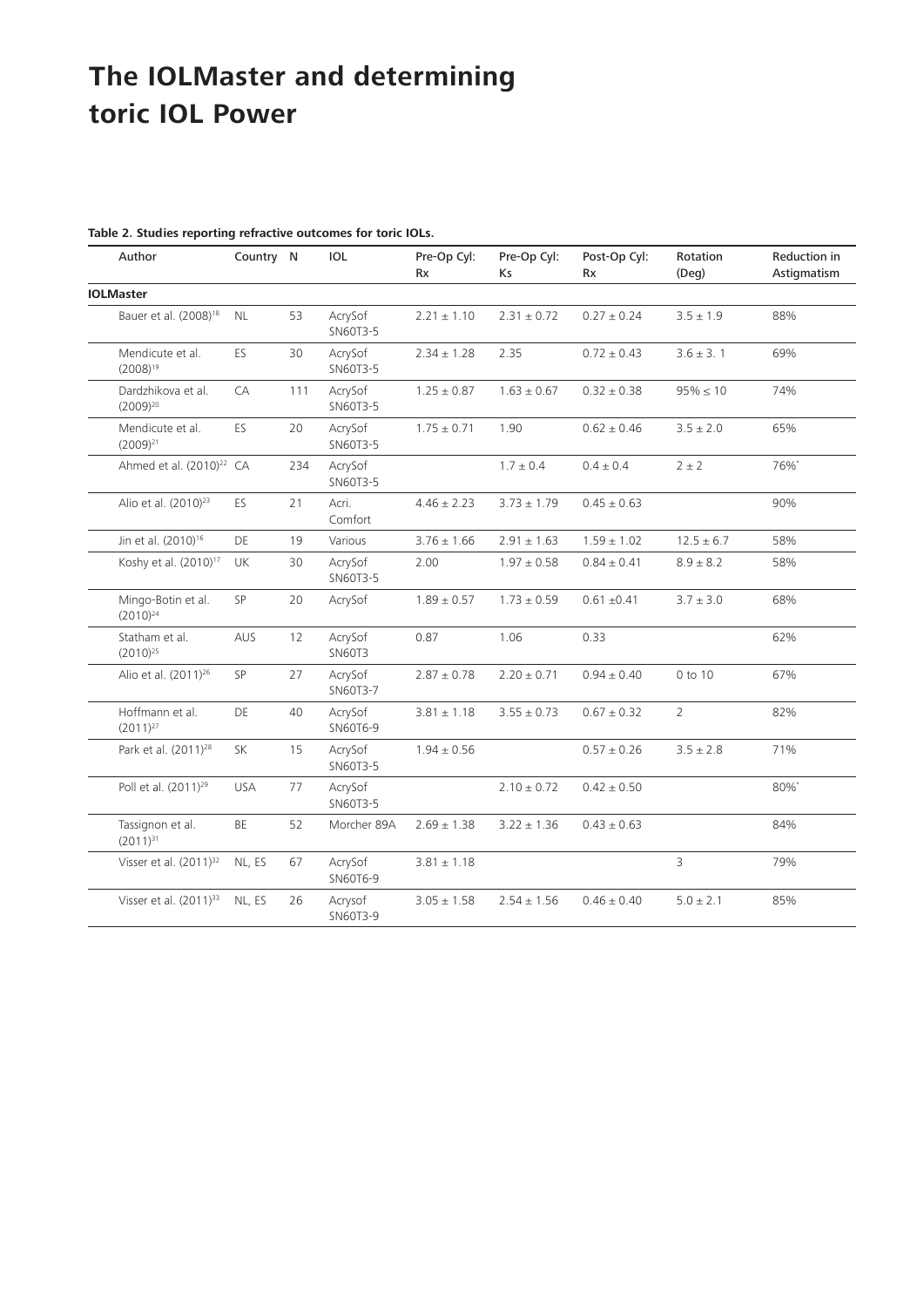| Author                               | Country N  |     | <b>IOL</b>               | Pre-Op Cyl:<br><b>Rx</b> | Pre-Op Cyl:<br>Ks | Post-Op Cyl:<br><b>Rx</b> | Rotation<br>(Deg) | <b>Reduction in</b><br>Astigmatism |
|--------------------------------------|------------|-----|--------------------------|--------------------------|-------------------|---------------------------|-------------------|------------------------------------|
| <b>IOLMaster</b>                     |            |     |                          |                          |                   |                           |                   |                                    |
| Bauer et al. (2008) <sup>18</sup>    | NL.        | 53  | AcrySof<br>SN60T3-5      | $2.21 \pm 1.10$          | $2.31 \pm 0.72$   | $0.27 \pm 0.24$           | $3.5 \pm 1.9$     | 88%                                |
| Mendicute et al.<br>$(2008)^{19}$    | ES.        | 30  | AcrySof<br>SN60T3-5      | $2.34 \pm 1.28$          | 2.35              | $0.72 \pm 0.43$           | $3.6 \pm 3.1$     | 69%                                |
| Dardzhikova et al.<br>$(2009)^{20}$  | CA         | 111 | AcrySof<br>SN60T3-5      | $1.25 \pm 0.87$          | $1.63 \pm 0.67$   | $0.32 \pm 0.38$           | $95\% \le 10$     | 74%                                |
| Mendicute et al.<br>$(2009)^{21}$    | ES         | 20  | AcrySof<br>SN60T3-5      | $1.75 \pm 0.71$          | 1.90              | $0.62 \pm 0.46$           | $3.5 \pm 2.0$     | 65%                                |
| Ahmed et al. (2010) <sup>22</sup> CA |            | 234 | AcrySof<br>SN60T3-5      |                          | $1.7 \pm 0.4$     | $0.4 \pm 0.4$             | $2 \pm 2$         | 76%*                               |
| Alio et al. (2010) <sup>23</sup>     | ES         | 21  | Acri.<br>Comfort         | $4.46 \pm 2.23$          | $3.73 \pm 1.79$   | $0.45 \pm 0.63$           |                   | 90%                                |
| Jin et al. (2010) <sup>16</sup>      | DE         | 19  | Various                  | $3.76 \pm 1.66$          | $2.91 \pm 1.63$   | $1.59 \pm 1.02$           | $12.5 \pm 6.7$    | 58%                                |
| Koshy et al. (2010) <sup>17</sup>    | UK         | 30  | AcrySof<br>SN60T3-5      | 2.00                     | $1.97 \pm 0.58$   | $0.84 \pm 0.41$           | $8.9 \pm 8.2$     | 58%                                |
| Mingo-Botin et al.<br>$(2010)^{24}$  | SP         | 20  | AcrySof                  | $1.89 \pm 0.57$          | $1.73 \pm 0.59$   | $0.61 \pm 0.41$           | $3.7 \pm 3.0$     | 68%                                |
| Statham et al.<br>$(2010)^{25}$      | <b>AUS</b> | 12  | AcrySof<br><b>SN60T3</b> | 0.87                     | 1.06              | 0.33                      |                   | 62%                                |
| Alio et al. (2011) <sup>26</sup>     | SP         | 27  | AcrySof<br>SN60T3-7      | $2.87 \pm 0.78$          | $2.20 \pm 0.71$   | $0.94 \pm 0.40$           | 0 to 10           | 67%                                |
| Hoffmann et al.<br>$(2011)^{27}$     | DE         | 40  | AcrySof<br>SN60T6-9      | $3.81 \pm 1.18$          | $3.55 \pm 0.73$   | $0.67 \pm 0.32$           | $\overline{2}$    | 82%                                |
| Park et al. (2011) <sup>28</sup>     | <b>SK</b>  | 15  | AcrySof<br>SN60T3-5      | $1.94 \pm 0.56$          |                   | $0.57 \pm 0.26$           | $3.5 \pm 2.8$     | 71%                                |
| Poll et al. (2011) <sup>29</sup>     | <b>USA</b> | 77  | AcrySof<br>SN60T3-5      |                          | $2.10 \pm 0.72$   | $0.42 \pm 0.50$           |                   | 80%*                               |
| Tassignon et al.<br>$(2011)^{31}$    | <b>BE</b>  | 52  | Morcher 89A              | $2.69 \pm 1.38$          | $3.22 \pm 1.36$   | $0.43 \pm 0.63$           |                   | 84%                                |
| Visser et al. (2011) <sup>32</sup>   | NL, ES     | 67  | AcrySof<br>SN60T6-9      | $3.81 \pm 1.18$          |                   |                           | 3                 | 79%                                |
| Visser et al. (2011) <sup>33</sup>   | NL, ES     | 26  | Acrysof<br>SN60T3-9      | $3.05 \pm 1.58$          | $2.54 \pm 1.56$   | $0.46 \pm 0.40$           | $5.0 \pm 2.1$     | 85%                                |

#### **Table 2. Studies reporting refractive outcomes for toric IOLs.**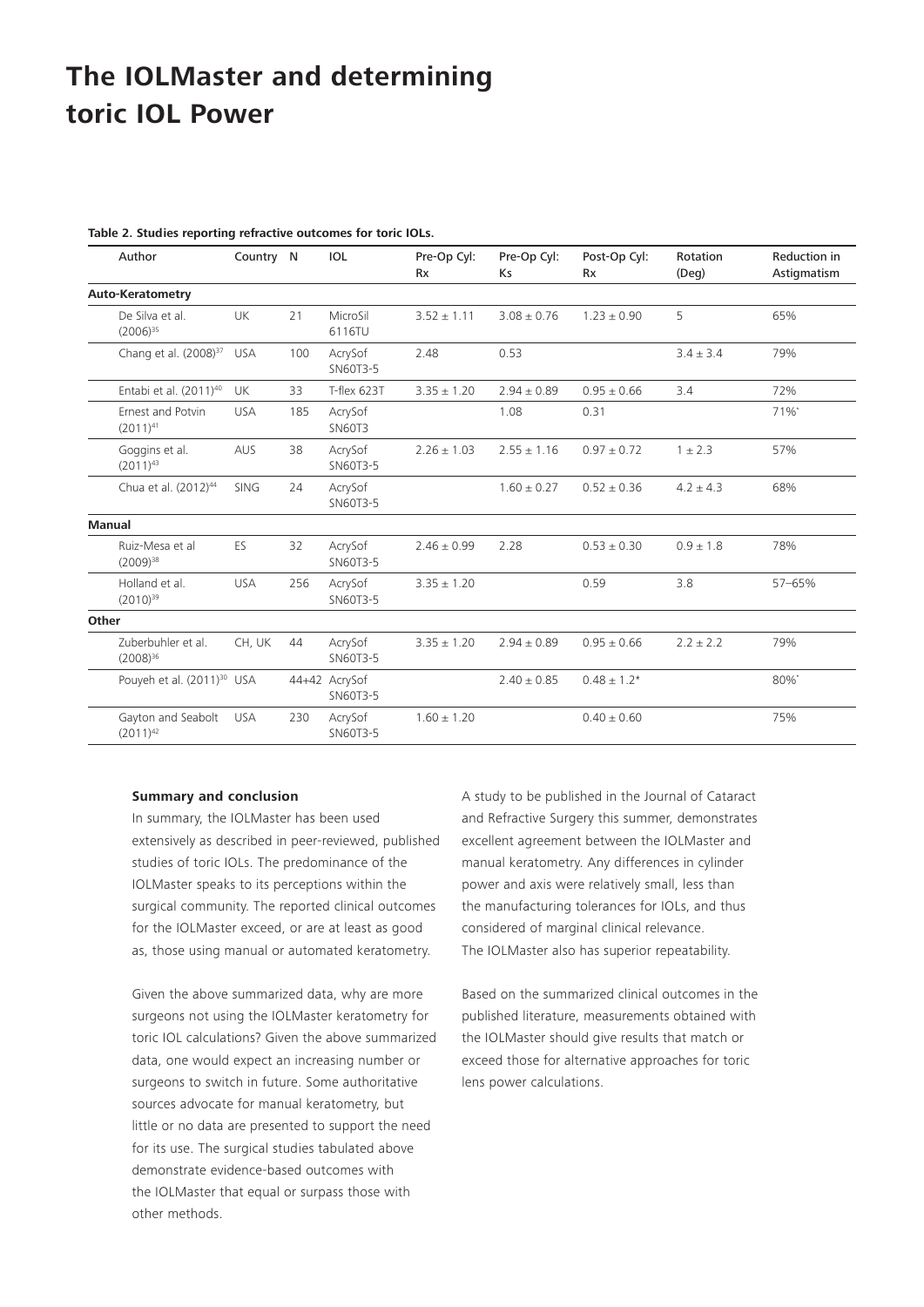|  |  | Table 2. Studies reporting refractive outcomes for toric IOLs. |
|--|--|----------------------------------------------------------------|
|  |  |                                                                |

|       | Author                                 | Country N   |     | <b>IOL</b>                | Pre-Op Cyl:<br><b>Rx</b> | Pre-Op Cyl:<br>Ks | Post-Op Cyl:<br><b>Rx</b> | Rotation<br>$($ Deq $)$ | <b>Reduction in</b><br>Astigmatism |
|-------|----------------------------------------|-------------|-----|---------------------------|--------------------------|-------------------|---------------------------|-------------------------|------------------------------------|
|       | <b>Auto-Keratometry</b>                |             |     |                           |                          |                   |                           |                         |                                    |
|       | De Silva et al.<br>$(2006)^{35}$       | <b>UK</b>   | 21  | MicroSil<br>6116TU        | $3.52 \pm 1.11$          | $3.08 \pm 0.76$   | $1.23 \pm 0.90$           | 5                       | 65%                                |
|       | Chang et al. (2008) <sup>37</sup>      | <b>USA</b>  | 100 | AcrySof<br>SN60T3-5       | 2.48                     | 0.53              |                           | $3.4 \pm 3.4$           | 79%                                |
|       | Entabi et al. (2011) <sup>40</sup>     | UK          | 33  | T-flex 623T               | $3.35 \pm 1.20$          | $2.94 \pm 0.89$   | $0.95 \pm 0.66$           | 3.4                     | 72%                                |
|       | Ernest and Potvin<br>$(2011)^{41}$     | <b>USA</b>  | 185 | AcrySof<br><b>SN60T3</b>  |                          | 1.08              | 0.31                      |                         | 71%*                               |
|       | Goggins et al.<br>$(2011)^{43}$        | <b>AUS</b>  | 38  | AcrySof<br>SN60T3-5       | $2.26 \pm 1.03$          | $2.55 \pm 1.16$   | $0.97 \pm 0.72$           | $1 \pm 2.3$             | 57%                                |
|       | Chua et al. (2012) <sup>44</sup>       | <b>SING</b> | 24  | AcrySof<br>SN60T3-5       |                          | $1.60 \pm 0.27$   | $0.52 \pm 0.36$           | $4.2 \pm 4.3$           | 68%                                |
|       | <b>Manual</b>                          |             |     |                           |                          |                   |                           |                         |                                    |
|       | Ruiz-Mesa et al<br>$(2009)^{38}$       | ES          | 32  | AcrySof<br>SN60T3-5       | $2.46 \pm 0.99$          | 2.28              | $0.53 \pm 0.30$           | $0.9 + 1.8$             | 78%                                |
|       | Holland et al.<br>$(2010)^{39}$        | <b>USA</b>  | 256 | AcrySof<br>SN60T3-5       | $3.35 \pm 1.20$          |                   | 0.59                      | 3.8                     | 57-65%                             |
| Other |                                        |             |     |                           |                          |                   |                           |                         |                                    |
|       | Zuberbuhler et al.<br>$(2008)^{36}$    | CH, UK      | 44  | AcrySof<br>SN60T3-5       | $3.35 \pm 1.20$          | $2.94 \pm 0.89$   | $0.95 \pm 0.66$           | $2.2 \pm 2.2$           | 79%                                |
|       | Pouyeh et al. (2011) <sup>30</sup> USA |             |     | 44+42 AcrySof<br>SN60T3-5 |                          | $2.40 \pm 0.85$   | $0.48 \pm 1.2*$           |                         | 80%*                               |
|       | Gayton and Seabolt<br>$(2011)^{42}$    | <b>USA</b>  | 230 | AcrySof<br>SN60T3-5       | $1.60 \pm 1.20$          |                   | $0.40 \pm 0.60$           |                         | 75%                                |

#### **Summary and conclusion**

In summary, the IOLMaster has been used extensively as described in peer-reviewed, published studies of toric IOLs. The predominance of the IOLMaster speaks to its perceptions within the surgical community. The reported clinical outcomes for the IOLMaster exceed, or are at least as good as, those using manual or automated keratometry.

Given the above summarized data, why are more surgeons not using the IOLMaster keratometry for toric IOL calculations? Given the above summarized data, one would expect an increasing number or surgeons to switch in future. Some authoritative sources advocate for manual keratometry, but little or no data are presented to support the need for its use. The surgical studies tabulated above demonstrate evidence-based outcomes with the IOLMaster that equal or surpass those with other methods.

A study to be published in the Journal of Cataract and Refractive Surgery this summer, demonstrates excellent agreement between the IOLMaster and manual keratometry. Any differences in cylinder power and axis were relatively small, less than the manufacturing tolerances for IOLs, and thus considered of marginal clinical relevance. The IOLMaster also has superior repeatability.

Based on the summarized clinical outcomes in the published literature, measurements obtained with the IOLMaster should give results that match or exceed those for alternative approaches for toric lens power calculations.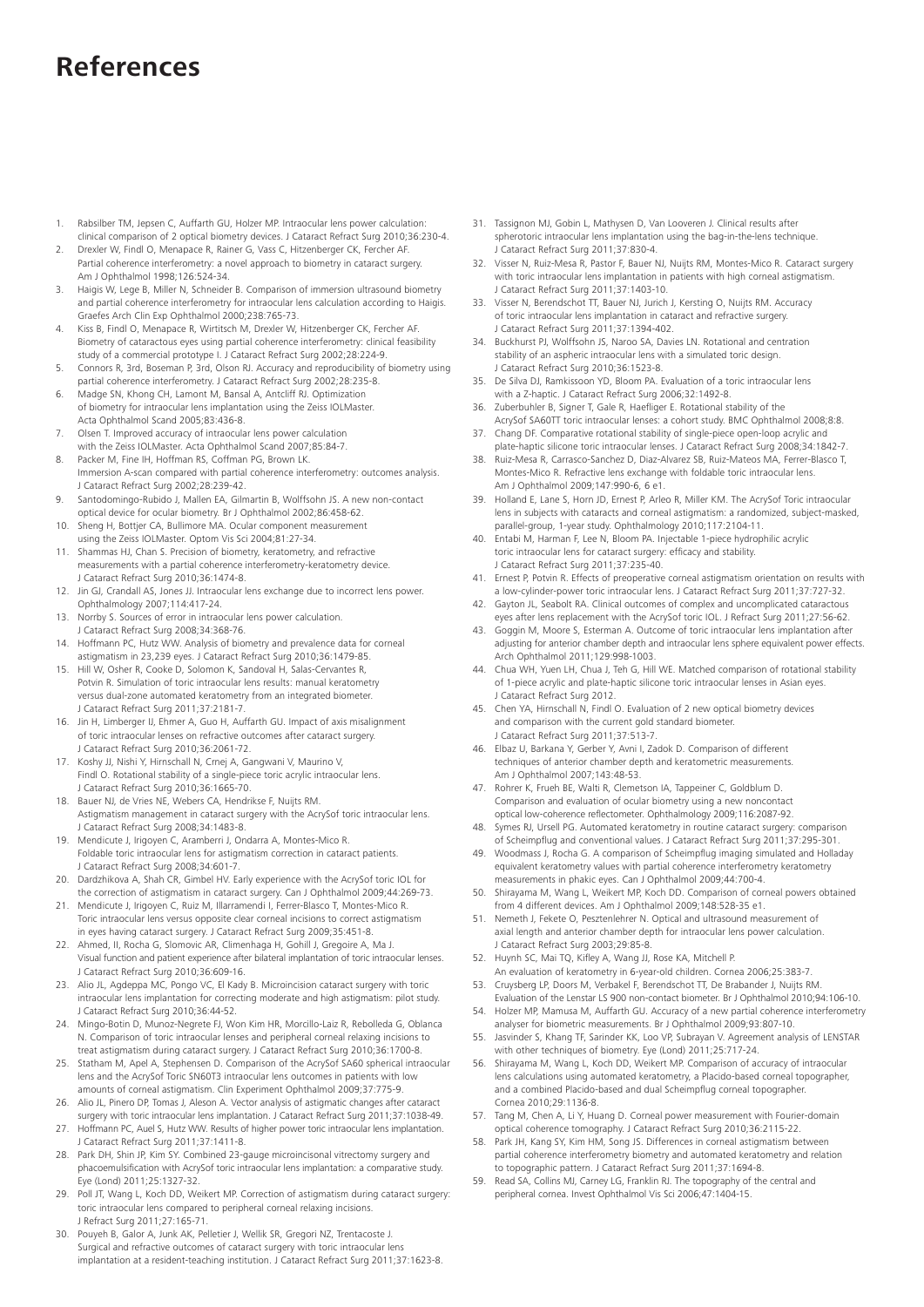### **References**

- 1. Rabsilber TM, Jepsen C, Auffarth GU, Holzer MP. Intraocular lens power calculation: clinical comparison of 2 optical biometry devices. J Cataract Refract Surg 2010;36:230-4.
- 2. Drexler W, Findl O, Menapace R, Rainer G, Vass C, Hitzenberger CK, Fercher AF. Partial coherence interferometry: a novel approach to biometry in cataract surgery. Am J Ophthalmol 1998;126:524-34.
- 3. Haigis W, Lege B, Miller N, Schneider B. Comparison of immersion ultrasound biometry and partial coherence interferometry for intraocular lens calculation according to Haigis. Graefes Arch Clin Exp Ophthalmol 2000;238:765-73.
- 4. Kiss B, Findl O, Menapace R, Wirtitsch M, Drexler W, Hitzenberger CK, Fercher AF. Biometry of cataractous eyes using partial coherence interferometry: clinical feasibility study of a commercial prototype I. J Cataract Refract Surg 2002;28:224-9.
- 5. Connors R, 3rd, Boseman P, 3rd, Olson RJ. Accuracy and reproducibility of biometry using partial coherence interferometry. J Cataract Refract Surg 2002;28:235-8.
- 6. Madge SN, Khong CH, Lamont M, Bansal A, Antcliff RJ. Optimization of biometry for intraocular lens implantation using the Zeiss IOLMaster. Acta Ophthalmol Scand 2005;83:436-8.
- Olsen T. Improved accuracy of intraocular lens power calculation
- with the Zeiss IOLMaster. Acta Ophthalmol Scand 2007;85:84-7.
- 8. Packer M, Fine IH, Hoffman RS, Coffman PG, Brown LK. Immersion A-scan compared with partial coherence interferometry: outcomes analysis. J Cataract Refract Surg 2002;28:239-42.
- 9. Santodomingo-Rubido J, Mallen EA, Gilmartin B, Wolffsohn JS. A new non-contact optical device for ocular biometry. Br J Ophthalmol 2002;86:458-62.
- 10. Sheng H, Bottjer CA, Bullimore MA. Ocular component measurement using the Zeiss IOLMaster. Optom Vis Sci 2004;81:27-34.
- 11. Shammas HJ, Chan S. Precision of biometry, keratometry, and refractive measurements with a partial coherence interferometry-keratometry device. J Cataract Refract Surg 2010;36:1474-8.
- 12. Jin GJ, Crandall AS, Jones JJ. Intraocular lens exchange due to incorrect lens power. Ophthalmology 2007;114:417-24.
- 13. Norrby S. Sources of error in intraocular lens power calculation. J Cataract Refract Surg 2008;34:368-76.
- 14. Hoffmann PC, Hutz WW. Analysis of biometry and prevalence data for corneal astigmatism in 23,239 eyes. J Cataract Refract Surg 2010;36:1479-85.
- Hill W, Osher R, Cooke D, Solomon K, Sandoval H, Salas-Cervantes R, Potvin R. Simulation of toric intraocular lens results: manual keratometry versus dual-zone automated keratometry from an integrated biometer. J Cataract Refract Surg 2011;37:2181-7.
- 16. Jin H, Limberger IJ, Ehmer A, Guo H, Auffarth GU. Impact of axis misalignment of toric intraocular lenses on refractive outcomes after cataract surgery. J Cataract Refract Surg 2010;36:2061-72.
- 17. Koshy JJ, Nishi Y, Hirnschall N, Crnej A, Gangwani V, Maurino V, Findl O. Rotational stability of a single-piece toric acrylic intraocular lens. J Cataract Refract Surg 2010;36:1665-70.
- 18. Bauer NJ, de Vries NE, Webers CA, Hendrikse F, Nuijts RM. Astigmatism management in cataract surgery with the AcrySof toric intraocular lens. J Cataract Refract Surg 2008;34:1483-8.
- 19. Mendicute J, Irigoyen C, Aramberri J, Ondarra A, Montes-Mico R. Foldable toric intraocular lens for astigmatism correction in cataract patients. J Cataract Refract Surg 2008;34:601-7.
- 20. Dardzhikova A, Shah CR, Gimbel HV. Early experience with the AcrySof toric IOL for the correction of astigmatism in cataract surgery. Can J Ophthalmol 2009;44:269-73.
- 21. Mendicute J, Irigoyen C, Ruiz M, Illarramendi I, Ferrer-Blasco T, Montes-Mico R. Toric intraocular lens versus opposite clear corneal incisions to correct astigmatism in eyes having cataract surgery. J Cataract Refract Surg 2009;35:451-8.
- 22. Ahmed, II, Rocha G, Slomovic AR, Climenhaga H, Gohill J, Gregoire A, Ma J. Visual function and patient experience after bilateral implantation of toric intraocular lenses. J Cataract Refract Surg 2010;36:609-16.
- 23. Alio JL, Agdeppa MC, Pongo VC, El Kady B. Microincision cataract surgery with toric intraocular lens implantation for correcting moderate and high astigmatism: pilot study. J Cataract Refract Surg 2010;36:44-52.
- 24. Mingo-Botin D, Munoz-Negrete FJ, Won Kim HR, Morcillo-Laiz R, Rebolleda G, Oblanca N. Comparison of toric intraocular lenses and peripheral corneal relaxing incisions to treat astigmatism during cataract surgery. J Cataract Refract Surg 2010;36:1700-8.
- 25. Statham M, Apel A, Stephensen D. Comparison of the AcrySof SA60 spherical intraocular lens and the AcrySof Toric SN60T3 intraocular lens outcomes in patients with low amounts of corneal astigmatism. Clin Experiment Ophthalmol 2009;37:775-9.
- 26. Alio JL, Pinero DP, Tomas J, Aleson A. Vector analysis of astigmatic changes after cataract surgery with toric intraocular lens implantation. J Cataract Refract Surg 2011;37:1038-49.
- 27. Hoffmann PC, Auel S, Hutz WW. Results of higher power toric intraocular lens implantation. Cataract Refract Surg 2011;37:1411-8.
- 28. Park DH, Shin JP, Kim SY. Combined 23-gauge microincisonal vitrectomy surgery and phacoemulsification with AcrySof toric intraocular lens implantation: a comparative study. Eye (Lond) 2011;25:1327-32.
- 29. Poll JT, Wang L, Koch DD, Weikert MP. Correction of astigmatism during cataract surgery: toric intraocular lens compared to peripheral corneal relaxing incisions. J Refract Surg 2011;27:165-71.
- 30. Pouyeh B, Galor A, Junk AK, Pelletier J, Wellik SR, Gregori NZ, Trentacoste J. Surgical and refractive outcomes of cataract surgery with toric intraocular lens implantation at a resident-teaching institution. J Cataract Refract Surg 2011;37:1623-8.
- 31. Tassignon MJ, Gobin L, Mathysen D, Van Looveren J. Clinical results after spherotoric intraocular lens implantation using the bag-in-the-lens technique. J Cataract Refract Surg 2011;37:830-4.
- 32. Visser N, Ruiz-Mesa R, Pastor F, Bauer NJ, Nuijts RM, Montes-Mico R. Cataract surgery with toric intraocular lens implantation in patients with high corneal astigmatism J Cataract Refract Surg 2011;37:1403-10.
- 33. Visser N, Berendschot TT, Bauer NJ, Jurich J, Kersting O, Nuijts RM. Accuracy of toric intraocular lens implantation in cataract and refractive surgery. J Cataract Refract Surg 2011;37:1394-402.
- 34. Buckhurst PJ, Wolffsohn JS, Naroo SA, Davies LN. Rotational and centration stability of an aspheric intraocular lens with a simulated toric design. J Cataract Refract Surg 2010;36:1523-8.
- 35. De Silva DJ, Ramkissoon YD, Bloom PA. Evaluation of a toric intraocular lens with a Z-haptic. J Cataract Refract Surg 2006;32:1492-8.
- 36. Zuberbuhler B, Signer T, Gale R, Haefliger E. Rotational stability of the AcrySof SA60TT toric intraocular lenses: a cohort study. BMC Ophthalmol 2008;8:8.
- 37. Chang DF. Comparative rotational stability of single-piece open-loop acrylic and plate-haptic silicone toric intraocular lenses. J Cataract Refract Surg 2008;34:1842-7.
- 38. Ruiz-Mesa R, Carrasco-Sanchez D, Diaz-Alvarez SB, Ruiz-Mateos MA, Ferrer-Blasco T, Montes-Mico R. Refractive lens exchange with foldable toric intraocular lens. Am J Ophthalmol 2009;147:990-6, 6 e1.
- 39. Holland E, Lane S, Horn JD, Ernest P, Arleo R, Miller KM. The AcrySof Toric intraocular lens in subjects with cataracts and corneal astigmatism: a randomized, subject-masked, parallel-group, 1-year study. Ophthalmology 2010;117:2104-11.
- 40. Entabi M, Harman F, Lee N, Bloom PA. Injectable 1-piece hydrophilic acrylic toric intraocular lens for cataract surgery: efficacy and stability. J Cataract Refract Surg 2011;37:235-40.
- 41. Ernest P, Potvin R. Effects of preoperative corneal astigmatism orientation on results with a low-cylinder-power toric intraocular lens. J Cataract Refract Surg 2011;37:727-32.
- 42. Gayton JL, Seabolt RA. Clinical outcomes of complex and uncomplicated cataractous eyes after lens replacement with the AcrySof toric IOL. J Refract Surg 2011;27:56-62.
- 43. Goggin M, Moore S, Esterman A. Outcome of toric intraocular lens implantation after adjusting for anterior chamber depth and intraocular lens sphere equivalent power effects. Arch Ophthalmol 2011;129:998-1003.
- 44. Chua WH, Yuen LH, Chua J, Teh G, Hill WE. Matched comparison of rotational stability of 1-piece acrylic and plate-haptic silicone toric intraocular lenses in Asian eyes. J Cataract Refract Surg 2012.
- 45. Chen YA, Hirnschall N, Findl O. Evaluation of 2 new optical biometry devices and comparison with the current gold standard biometer. J Cataract Refract Surg 2011;37:513-7.
- 46. Elbaz U, Barkana Y, Gerber Y, Avni I, Zadok D. Comparison of different techniques of anterior chamber depth and keratometric measurements. Am J Ophthalmol 2007;143:48-53.
- 47. Rohrer K, Frueh BE, Walti R, Clemetson IA, Tappeiner C, Goldblum D. Comparison and evaluation of ocular biometry using a new noncontact optical low-coherence reflectometer. Ophthalmology 2009;116:2087-92.
- 48. Symes RJ, Ursell PG. Automated keratometry in routine cataract surgery: comparison of Scheimpflug and conventional values. J Cataract Refract Surg 2011;37:295-301.
- 49. Woodmass J, Rocha G. A comparison of Scheimpflug imaging simulated and Holladay equivalent keratometry values with partial coherence interferometry keratometry measurements in phakic eyes. Can J Ophthalmol 2009;44:700-4.
- Shirayama M, Wang L, Weikert MP, Koch DD. Comparison of corneal powers obtained from 4 different devices. Am J Ophthalmol 2009;148:528-35 e1.
- Nemeth J, Fekete O, Pesztenlehrer N. Optical and ultrasound measurement of axial length and anterior chamber depth for intraocular lens power calculation. J Cataract Refract Surg 2003;29:85-8.
- 52. Huynh SC, Mai TQ, Kifley A, Wang JJ, Rose KA, Mitchell P. An evaluation of keratometry in 6-year-old children. Cornea 2006;25:383-7.
- 53. Cruysberg LP, Doors M, Verbakel F, Berendschot TT, De Brabander J, Nuijts RM. Evaluation of the Lenstar LS 900 non-contact biometer. Br J Ophthalmol 2010;94:106-10.
- 54. Holzer MP, Mamusa M, Auffarth GU. Accuracy of a new partial coherence interferometry analyser for biometric measurements. Br J Ophthalmol 2009;93:807-10.
- 55. Jasvinder S, Khang TF, Sarinder KK, Loo VP, Subrayan V. Agreement analysis of LENSTAR with other techniques of biometry. Eye (Lond) 2011;25:717-24.
- 56. Shirayama M, Wang L, Koch DD, Weikert MP. Comparison of accuracy of intraocular lens calculations using automated keratometry, a Placido-based corneal topographer, and a combined Placido-based and dual Scheimpflug corneal topographer. Cornea 2010;29:1136-8.
- 57. Tang M, Chen A, Li Y, Huang D. Corneal power measurement with Fourier-domain optical coherence tomography. J Cataract Refract Surg 2010;36:2115-22.
- 58. Park JH, Kang SY, Kim HM, Song JS. Differences in corneal astigmatism between partial coherence interferometry biometry and automated keratometry and relation to topographic pattern. J Cataract Refract Surg 2011;37:1694-8.
- 59. Read SA, Collins MJ, Carney LG, Franklin RJ. The topography of the central and peripheral cornea. Invest Ophthalmol Vis Sci 2006;47:1404-15.